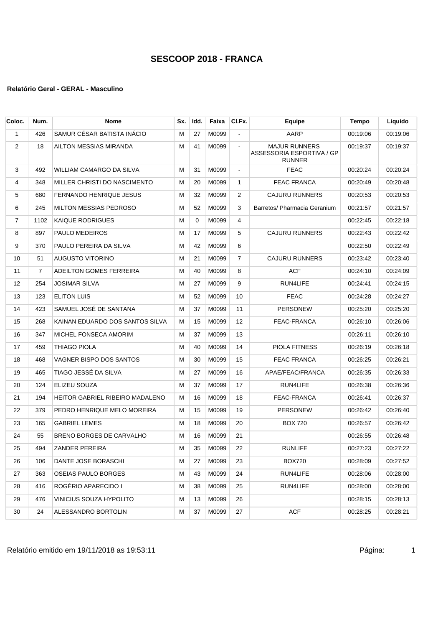| Coloc.         | Num.           | <b>Nome</b>                     | Sx. | Idd.     | Faixa | CI.Fx.         | Equipe                                                             | Tempo    | Liquido  |
|----------------|----------------|---------------------------------|-----|----------|-------|----------------|--------------------------------------------------------------------|----------|----------|
| 1              | 426            | SAMUR CÉSAR BATISTA INACIO      | м   | 27       | M0099 | $\blacksquare$ | AARP                                                               | 00:19:06 | 00:19:06 |
| 2              | 18             | AILTON MESSIAS MIRANDA          | М   | 41       | M0099 | $\blacksquare$ | <b>MAJUR RUNNERS</b><br>ASSESSORIA ESPORTIVA / GP<br><b>RUNNER</b> | 00:19:37 | 00:19:37 |
| 3              | 492            | WILLIAM CAMARGO DA SILVA        | м   | 31       | M0099 | $\blacksquare$ | <b>FEAC</b>                                                        | 00:20:24 | 00:20:24 |
| 4              | 348            | MILLER CHRISTI DO NASCIMENTO    | м   | 20       | M0099 | $\mathbf{1}$   | <b>FEAC FRANCA</b>                                                 | 00:20:49 | 00:20:48 |
| 5              | 680            | FERNANDO HENRIQUE JESUS         | м   | 32       | M0099 | 2              | <b>CAJURU RUNNERS</b>                                              | 00:20:53 | 00:20:53 |
| 6              | 245            | <b>MILTON MESSIAS PEDROSO</b>   | M   | 52       | M0099 | 3              | Barretos/ Pharmacia Geranium                                       | 00:21:57 | 00:21:57 |
| $\overline{7}$ | 1102           | KAIQUE RODRIGUES                | М   | $\Omega$ | M0099 | 4              |                                                                    | 00:22:45 | 00:22:18 |
| 8              | 897            | PAULO MEDEIROS                  | м   | 17       | M0099 | 5              | <b>CAJURU RUNNERS</b>                                              | 00:22:43 | 00:22:42 |
| 9              | 370            | PAULO PEREIRA DA SILVA          | М   | 42       | M0099 | 6              |                                                                    | 00:22:50 | 00.22:49 |
| 10             | 51             | <b>AUGUSTO VITORINO</b>         | м   | 21       | M0099 | $\overline{7}$ | <b>CAJURU RUNNERS</b>                                              | 00:23:42 | 00:23:40 |
| 11             | $\overline{7}$ | ADEILTON GOMES FERREIRA         | М   | 40       | M0099 | 8              | <b>ACF</b>                                                         | 00:24:10 | 00:24:09 |
| 12             | 254            | <b>JOSIMAR SILVA</b>            | M   | 27       | M0099 | 9              | RUN4LIFE                                                           | 00:24:41 | 00:24:15 |
| 13             | 123            | <b>ELITON LUIS</b>              | M   | 52       | M0099 | 10             | FEAC                                                               | 00:24:28 | 00:24:27 |
| 14             | 423            | SAMUEL JOSÉ DE SANTANA          | М   | 37       | M0099 | 11             | <b>PERSONEW</b>                                                    | 00:25:20 | 00:25:20 |
| 15             | 268            | KAINAN EDUARDO DOS SANTOS SILVA | М   | 15       | M0099 | 12             | FEAC-FRANCA                                                        | 00:26:10 | 00:26:06 |
| 16             | 347            | MICHEL FONSECA AMORIM           | м   | 37       | M0099 | 13             |                                                                    | 00:26:11 | 00:26:10 |
| 17             | 459            | THIAGO PIOLA                    | м   | 40       | M0099 | 14             | <b>PIOLA FITNESS</b>                                               | 00:26:19 | 00:26:18 |
| 18             | 468            | VAGNER BISPO DOS SANTOS         | M   | 30       | M0099 | 15             | <b>FEAC FRANCA</b>                                                 | 00:26:25 | 00:26:21 |
| 19             | 465            | TIAGO JESSÉ DA SILVA            | М   | 27       | M0099 | 16             | APAE/FEAC/FRANCA                                                   | 00:26:35 | 00:26:33 |
| 20             | 124            | ELIZEU SOUZA                    | м   | 37       | M0099 | 17             | RUN4LIFE                                                           | 00:26:38 | 00:26:36 |
| 21             | 194            | HEITOR GABRIEL RIBEIRO MADALENO | М   | 16       | M0099 | 18             | FEAC-FRANCA                                                        | 00:26:41 | 00:26:37 |
| 22             | 379            | PEDRO HENRIQUE MELO MOREIRA     | м   | 15       | M0099 | 19             | <b>PERSONEW</b>                                                    | 00:26:42 | 00:26:40 |
| 23             | 165            | <b>GABRIEL LEMES</b>            | м   | 18       | M0099 | 20             | <b>BOX 720</b>                                                     | 00:26:57 | 00:26:42 |
| 24             | 55             | <b>BRENO BORGES DE CARVALHO</b> | M   | 16       | M0099 | 21             |                                                                    | 00:26:55 | 00:26:48 |
| 25             | 494            | ZANDER PEREIRA                  | М   | 35       | M0099 | 22             | <b>RUNLIFE</b>                                                     | 00:27:23 | 00:27:22 |
| 26             | 106            | DANTE JOSE BORASCHI             | м   | 27       | M0099 | 23             | <b>BOX720</b>                                                      | 00:28:09 | 00:27:52 |
| 27             | 363            | OSEIAS PAULO BORGES             | м   | 43       | M0099 | 24             | RUN4LIFE                                                           | 00:28:06 | 00:28:00 |
| 28             | 416            | ROGÉRIO APARECIDO I             | м   | 38       | M0099 | 25             | RUN4LIFE                                                           | 00:28:00 | 00:28:00 |
| 29             | 476            | VINICIUS SOUZA HYPOLITO         | м   | 13       | M0099 | 26             |                                                                    | 00:28:15 | 00:28:13 |
| 30             | 24             | ALESSANDRO BORTOLIN             | M   | 37       | M0099 | 27             | <b>ACF</b>                                                         | 00:28:25 | 00:28:21 |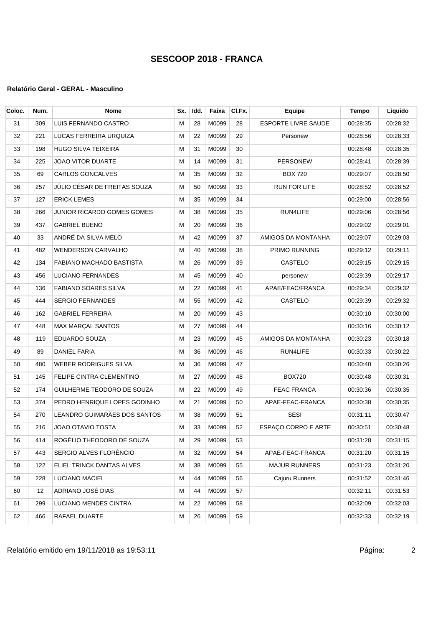| Coloc. | Num. | <b>Nome</b>                  | Sx.       | Idd. | Faixa    | CI.Fx. | Equipe                     | <b>Tempo</b> | Liquido  |
|--------|------|------------------------------|-----------|------|----------|--------|----------------------------|--------------|----------|
| 31     | 309  | LUIS FERNANDO CASTRO         | М         | 28   | M0099    | 28     | <b>ESPORTE LIVRE SAUDE</b> | 00:28:35     | 00:28:32 |
| 32     | 221  | LUCAS FERREIRA URQUIZA       | М         | 22   | M0099    | 29     | Personew                   | 00:28:56     | 00:28:33 |
| 33     | 198  | HUGO SILVA TEIXEIRA          | М         | 31   | M0099    | 30     |                            | 00:28:48     | 00:28:35 |
| 34     | 225  | JOAO VITOR DUARTE            | М         | 14   | M0099    | 31     | <b>PERSONEW</b>            | 00:28:41     | 00:28:39 |
| 35     | 69   | CARLOS GONCALVES             | M         | 35   | M0099    | 32     | <b>BOX 720</b>             | 00:29:07     | 00:28:50 |
| 36     | 257  | JÚLIO CÉSAR DE FREITAS SOUZA | М         | 50   | M0099    | 33     | <b>RUN FOR LIFE</b>        | 00:28:52     | 00:28:52 |
| 37     | 127  | <b>ERICK LEMES</b>           | М         | 35   | M0099    | 34     |                            | 00:29:00     | 00:28:56 |
| 38     | 266  | JUNIOR RICARDO GOMES GOMES   | М         | 38   | M0099    | 35     | RUN4LIFE                   | 00:29:06     | 00:28:56 |
| 39     | 437  | <b>GABRIEL BUENO</b>         | М         | 20   | M0099    | 36     |                            | 00:29:02     | 00:29:01 |
| 40     | 33   | ANDRÉ DA SILVA MELO          | М         | 42   | M0099    | 37     | AMIGOS DA MONTANHA         | 00:29:07     | 00:29:03 |
| 41     | 482  | <b>WENDERSON CARVALHO</b>    | M         | 40   | M0099    | 38     | PRIMO RUNNING              | 00:29:12     | 00:29:11 |
| 42     | 134  | FABIANO MACHADO BASTISTA     | М         | 26   | M0099    | 39     | <b>CASTELO</b>             | 00:29:15     | 00:29:15 |
| 43     | 456  | <b>LUCIANO FERNANDES</b>     | М         | 45   | M0099    | 40     | personew                   | 00:29:39     | 00:29:17 |
| 44     | 136  | <b>FABIANO SOARES SILVA</b>  | М         | 22   | M0099    | 41     | APAE/FEAC/FRANCA           | 00:29:34     | 00:29:32 |
| 45     | 444  | <b>SERGIO FERNANDES</b>      | М         | 55   | M0099    | 42     | <b>CASTELO</b>             | 00:29:39     | 00:29:32 |
| 46     | 162  | <b>GABRIEL FERREIRA</b>      | M         | 20   | M0099    | 43     |                            | 00:30:10     | 00:30:00 |
| 47     | 448  | MAX MARÇAL SANTOS            | M         | 27   | M0099    | 44     |                            | 00:30:16     | 00:30:12 |
| 48     | 119  | EDUARDO SOUZA                | М         | 23   | M0099    | 45     | AMIGOS DA MONTANHA         | 00:30:23     | 00:30:18 |
| 49     | 89   | DANIEL FARIA                 | М         | 36   | M0099    | 46     | RUN4LIFE                   | 00:30:33     | 00:30:22 |
| 50     | 480  | WEBER RODRIGUES SILVA        | М         | 36   | M0099    | 47     |                            | 00:30:40     | 00:30:26 |
| 51     | 145  | FELIPE CINTRA CLEMENTINO     | М         | 27   | M0099    | 48     | <b>BOX720</b>              | 00:30:48     | 00:30:31 |
| 52     | 174  | GUILHERME TEODORO DE SOUZA   | М         | 22   | M0099    | 49     | <b>FEAC FRANCA</b>         | 00:30:36     | 00:30:35 |
| 53     | 374  | PEDRO HENRIQUE LOPES GODINHO | М         | 21   | M0099    | 50     | APAE-FEAC-FRANCA           | 00:30:38     | 00:30:35 |
| 54     | 270  | LEANDRO GUIMARÃES DOS SANTOS | м         | 38   | M0099    | 51     | <b>SESI</b>                | 00:31:11     | 00:30:47 |
| 55     | 216  | <b>JOAO OTAVIO TOSTA</b>     | м         | 33   | M0099    | 52     | ESPAÇO CORPO E ARTE        | 00:30:51     | 00:30:48 |
| 56     | 414  | ROGÉLIO THEODORO DE SOUZA    | ${\sf M}$ |      | 29 M0099 | 53     |                            | 00:31:28     | 00:31:15 |
| 57     | 443  | SERGIO ALVES FLORÊNCIO       | м         | 32   | M0099    | 54     | APAE-FEAC-FRANCA           | 00:31:20     | 00:31:15 |
| 58     | 122  | ELIEL TRINCK DANTAS ALVES    | M         | 38   | M0099    | 55     | <b>MAJUR RUNNERS</b>       | 00:31:23     | 00:31:20 |
| 59     | 228  | LUCIANO MACIEL               | м         | 44   | M0099    | 56     | Cajuru Runners             | 00:31:52     | 00:31:46 |
| 60     | 12   | ADRIANO JOSÉ DIAS            | м         | 44   | M0099    | 57     |                            | 00:32:11     | 00:31:53 |
| 61     | 299  | LUCIANO MENDES CINTRA        | м         | 22   | M0099    | 58     |                            | 00:32:09     | 00:32:03 |
| 62     | 466  | RAFAEL DUARTE                | м         | 26   | M0099    | 59     |                            | 00:32:33     | 00:32:19 |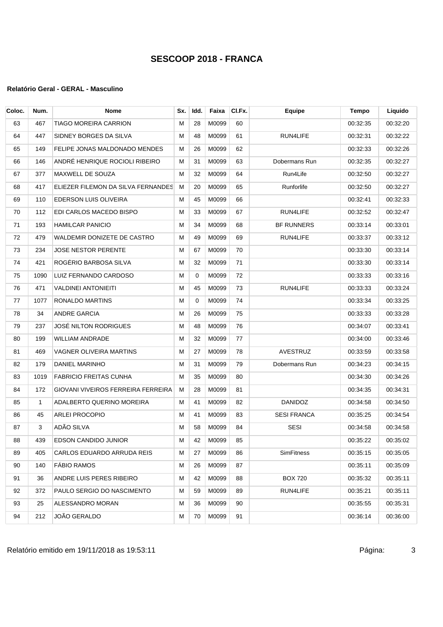| Coloc. | Num. | <b>Nome</b>                        | Sx. | Idd.     | Faixa | CI.Fx. | <b>Equipe</b>      | <b>Tempo</b> | Liquido  |
|--------|------|------------------------------------|-----|----------|-------|--------|--------------------|--------------|----------|
| 63     | 467  | <b>TIAGO MOREIRA CARRION</b>       | м   | 28       | M0099 | 60     |                    | 00:32:35     | 00:32:20 |
| 64     | 447  | SIDNEY BORGES DA SILVA             | М   | 48       | M0099 | 61     | RUN4LIFE           | 00:32:31     | 00:32:22 |
| 65     | 149  | FELIPE JONAS MALDONADO MENDES      | М   | 26       | M0099 | 62     |                    | 00:32:33     | 00:32:26 |
| 66     | 146  | ANDRÉ HENRIQUE ROCIOLI RIBEIRO     | м   | 31       | M0099 | 63     | Dobermans Run      | 00:32:35     | 00:32:27 |
| 67     | 377  | MAXWELL DE SOUZA                   | м   | 32       | M0099 | 64     | Run4Life           | 00:32:50     | 00:32:27 |
| 68     | 417  | ELIEZER FILEMON DA SILVA FERNANDES | м   | 20       | M0099 | 65     | Runforlife         | 00:32:50     | 00:32:27 |
| 69     | 110  | <b>EDERSON LUIS OLIVEIRA</b>       | м   | 45       | M0099 | 66     |                    | 00:32:41     | 00:32:33 |
| 70     | 112  | EDI CARLOS MACEDO BISPO            | м   | 33       | M0099 | 67     | RUN4LIFE           | 00:32:52     | 00:32:47 |
| 71     | 193  | <b>HAMILCAR PANICIO</b>            | М   | 34       | M0099 | 68     | <b>BF RUNNERS</b>  | 00:33:14     | 00:33:01 |
| 72     | 479  | WALDEMIR DONIZETE DE CASTRO        | M   | 49       | M0099 | 69     | RUN4LIFE           | 00:33:37     | 00:33:12 |
| 73     | 234  | <b>JOSE NESTOR PERENTE</b>         | м   | 67       | M0099 | 70     |                    | 00:33:30     | 00:33:14 |
| 74     | 421  | ROGÉRIO BARBOSA SILVA              | М   | 32       | M0099 | 71     |                    | 00:33:30     | 00:33:14 |
| 75     | 1090 | LUIZ FERNANDO CARDOSO              | М   | $\Omega$ | M0099 | 72     |                    | 00:33:33     | 00:33:16 |
| 76     | 471  | VALDINEI ANTONIEITI                | м   | 45       | M0099 | 73     | RUN4LIFE           | 00:33:33     | 00:33:24 |
| 77     | 1077 | RONALDO MARTINS                    | M   | 0        | M0099 | 74     |                    | 00:33:34     | 00:33:25 |
| 78     | 34   | <b>ANDRE GARCIA</b>                | М   | 26       | M0099 | 75     |                    | 00:33:33     | 00:33:28 |
| 79     | 237  | JOSÉ NILTON RODRIGUES              | м   | 48       | M0099 | 76     |                    | 00:34:07     | 00:33:41 |
| 80     | 199  | <b>WILLIAM ANDRADE</b>             | М   | 32       | M0099 | 77     |                    | 00:34:00     | 00:33:46 |
| 81     | 469  | VAGNER OLIVEIRA MARTINS            | м   | 27       | M0099 | 78     | <b>AVESTRUZ</b>    | 00:33:59     | 00:33:58 |
| 82     | 179  | DANIEL MARINHO                     | м   | 31       | M0099 | 79     | Dobermans Run      | 00:34:23     | 00:34:15 |
| 83     | 1019 | <b>FABRICIO FREITAS CUNHA</b>      | М   | 35       | M0099 | 80     |                    | 00:34:30     | 00:34:26 |
| 84     | 172  | GIOVANI VIVEIROS FERREIRA FERREIRA | м   | 28       | M0099 | 81     |                    | 00:34:35     | 00:34:31 |
| 85     | 1    | ADALBERTO QUERINO MOREIRA          | м   | 41       | M0099 | 82     | <b>DANIDOZ</b>     | 00:34:58     | 00:34:50 |
| 86     | 45   | ARLEI PROCOPIO                     | М   | 41       | M0099 | 83     | <b>SESI FRANCA</b> | 00:35:25     | 00:34:54 |
| 87     | 3    | ADÃO SILVA                         | М   | 58       | M0099 | 84     | <b>SESI</b>        | 00:34:58     | 00:34:58 |
| 88     | 439  | EDSON CANDIDO JUNIOR               | M   | 42       | M0099 | 85     |                    | 00:35:22     | 00:35:02 |
| 89     | 405  | CARLOS EDUARDO ARRUDA REIS         | м   | 27       | M0099 | 86     | <b>SimFitness</b>  | 00:35:15     | 00:35:05 |
| 90     | 140  | <b>FABIO RAMOS</b>                 | м   | 26       | M0099 | 87     |                    | 00:35:11     | 00:35:09 |
| 91     | 36   | ANDRE LUIS PERES RIBEIRO           | M   | 42       | M0099 | 88     | <b>BOX 720</b>     | 00:35:32     | 00:35:11 |
| 92     | 372  | PAULO SERGIO DO NASCIMENTO         | м   | 59       | M0099 | 89     | RUN4LIFE           | 00:35:21     | 00:35:11 |
| 93     | 25   | ALESSANDRO MORAN                   | м   | 36       | M0099 | 90     |                    | 00:35:55     | 00:35:31 |
| 94     | 212  | JOÃO GERALDO                       | M   | 70       | M0099 | 91     |                    | 00:36:14     | 00:36:00 |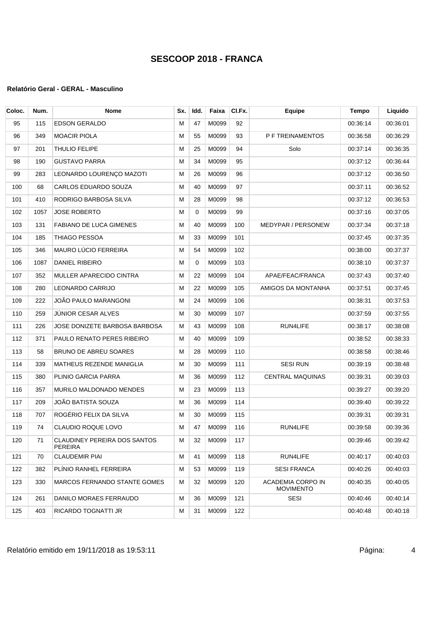| Coloc. | Num. | <b>Nome</b>                                    | Sx.       | Idd.     | Faixa | CI.Fx. | <b>Equipe</b>                         | <b>Tempo</b> | Liquido  |
|--------|------|------------------------------------------------|-----------|----------|-------|--------|---------------------------------------|--------------|----------|
| 95     | 115  | EDSON GERALDO                                  | М         | 47       | M0099 | 92     |                                       | 00:36:14     | 00:36:01 |
| 96     | 349  | <b>MOACIR PIOLA</b>                            | M         | 55       | M0099 | 93     | P F TREINAMENTOS                      | 00:36:58     | 00:36:29 |
| 97     | 201  | <b>THULIO FELIPE</b>                           | М         | 25       | M0099 | 94     | Solo                                  | 00:37:14     | 00:36:35 |
| 98     | 190  | <b>GUSTAVO PARRA</b>                           | M         | 34       | M0099 | 95     |                                       | 00:37:12     | 00:36:44 |
| 99     | 283  | LEONARDO LOURENÇO MAZOTI                       | М         | 26       | M0099 | 96     |                                       | 00:37:12     | 00:36:50 |
| 100    | 68   | CARLOS EDUARDO SOUZA                           | М         | 40       | M0099 | 97     |                                       | 00:37:11     | 00:36:52 |
| 101    | 410  | RODRIGO BARBOSA SILVA                          | М         | 28       | M0099 | 98     |                                       | 00:37:12     | 00:36:53 |
| 102    | 1057 | <b>JOSE ROBERTO</b>                            | М         | 0        | M0099 | 99     |                                       | 00:37:16     | 00:37:05 |
| 103    | 131  | <b>FABIANO DE LUCA GIMENES</b>                 | M         | 40       | M0099 | 100    | <b>MEDYPAR / PERSONEW</b>             | 00:37:34     | 00:37:18 |
| 104    | 185  | THIAGO PESSOA                                  | M         | 33       | M0099 | 101    |                                       | 00:37:45     | 00:37:35 |
| 105    | 346  | MAURO LÚCIO FERREIRA                           | M         | 54       | M0099 | 102    |                                       | 00:38:00     | 00:37:37 |
| 106    | 1087 | DANIEL RIBEIRO                                 | М         | $\Omega$ | M0099 | 103    |                                       | 00:38:10     | 00:37:37 |
| 107    | 352  | MULLER APARECIDO CINTRA                        | М         | 22       | M0099 | 104    | APAE/FEAC/FRANCA                      | 00:37:43     | 00:37:40 |
| 108    | 280  | LEONARDO CARRIJO                               | М         | 22       | M0099 | 105    | AMIGOS DA MONTANHA                    | 00:37:51     | 00:37:45 |
| 109    | 222  | JOÃO PAULO MARANGONI                           | М         | 24       | M0099 | 106    |                                       | 00:38:31     | 00:37:53 |
| 110    | 259  | JÚNIOR CESAR ALVES                             | M         | 30       | M0099 | 107    |                                       | 00:37:59     | 00:37:55 |
| 111    | 226  | JOSE DONIZETE BARBOSA BARBOSA                  | М         | 43       | M0099 | 108    | RUN4LIFE                              | 00:38:17     | 00:38:08 |
| 112    | 371  | PAULO RENATO PERES RIBEIRO                     | М         | 40       | M0099 | 109    |                                       | 00:38:52     | 00:38:33 |
| 113    | 58   | BRUNO DE ABREU SOARES                          | М         | 28       | M0099 | 110    |                                       | 00:38:58     | 00:38:46 |
| 114    | 339  | MATHEUS REZENDE MANIGLIA                       | М         | 30       | M0099 | 111    | <b>SESI RUN</b>                       | 00:39:19     | 00:38:48 |
| 115    | 380  | PLINIO GARCIA PARRA                            | M         | 36       | M0099 | 112    | <b>CENTRAL MAQUINAS</b>               | 00:39:31     | 00:39:03 |
| 116    | 357  | MURILO MALDONADO MENDES                        | M         | 23       | M0099 | 113    |                                       | 00:39:27     | 00:39:20 |
| 117    | 209  | JOÃO BATISTA SOUZA                             | М         | 36       | M0099 | 114    |                                       | 00:39:40     | 00:39:22 |
| 118    | 707  | ROGÉRIO FELIX DA SILVA                         | М         | 30       | M0099 | 115    |                                       | 00:39:31     | 00:39:31 |
| 119    | 74   | CLAUDIO ROQUE LOVO                             | М         | 47       | M0099 | 116    | RUN4LIFE                              | 00:39:58     | 00:39:36 |
| 120    | 71   | CLAUDINEY PEREIRA DOS SANTOS<br><b>PEREIRA</b> | ${\sf M}$ | 32       | M0099 | 117    |                                       | 00:39:46     | 00:39:42 |
| 121    | 70   | <b>CLAUDEMIR PIAI</b>                          | M         | 41       | M0099 | 118    | RUN4LIFE                              | 00:40:17     | 00:40:03 |
| 122    | 382  | PLINIO RANHEL FERREIRA                         | м         | 53       | M0099 | 119    | <b>SESI FRANCA</b>                    | 00:40:26     | 00:40:03 |
| 123    | 330  | MARCOS FERNANDO STANTE GOMES                   | м         | 32       | M0099 | 120    | ACADEMIA CORPO IN<br><b>MOVIMENTO</b> | 00:40:35     | 00:40:05 |
| 124    | 261  | DANILO MORAES FERRAUDO                         | м         | 36       | M0099 | 121    | <b>SESI</b>                           | 00:40:46     | 00:40:14 |
| 125    | 403  | RICARDO TOGNATTI JR                            | м         | 31       | M0099 | 122    |                                       | 00:40:48     | 00:40:18 |